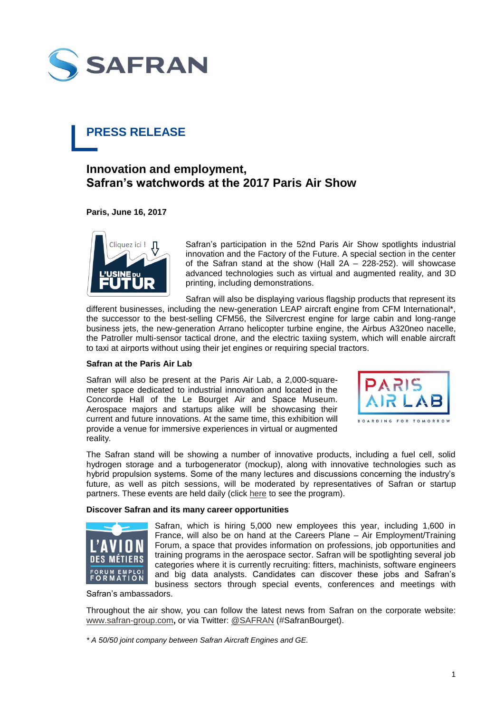

# **PRESS RELEASE**

## **Innovation and employment, Safran's watchwords at the 2017 Paris Air Show**

**Paris, June 16, 2017**



Safran's participation in the 52nd Paris Air Show spotlights industrial innovation and the Factory of the Future. A special section in the center of the Safran stand at the show (Hall 2A – 228-252). will showcase advanced technologies such as virtual and augmented reality, and 3D printing, including demonstrations.

Safran will also be displaying various flagship products that represent its different businesses, including the new-generation LEAP aircraft engine from CFM International\*, the successor to the best-selling CFM56, the Silvercrest engine for large cabin and long-range business jets, the new-generation Arrano helicopter turbine engine, the Airbus A320neo nacelle, the Patroller multi-sensor tactical drone, and the electric taxiing system, which will enable aircraft to taxi at airports without using their jet engines or requiring special tractors.

### **Safran at the Paris Air Lab**

Safran will also be present at the Paris Air Lab, a 2,000-squaremeter space dedicated to industrial innovation and located in the Concorde Hall of the Le Bourget Air and Space Museum. Aerospace majors and startups alike will be showcasing their current and future innovations. At the same time, this exhibition will provide a venue for immersive experiences in virtual or augmented reality.



The Safran stand will be showing a number of innovative products, including a fuel cell, solid hydrogen storage and a turbogenerator (mockup), along with innovative technologies such as hybrid propulsion systems. Some of the many lectures and discussions concerning the industry's future, as well as pitch sessions, will be moderated by representatives of Safran or startup partners. These events are held daily (click [here](https://www.siae.fr/en/events/paris.htm) to see the program).

### **Discover Safran and its many career opportunities**



Safran, which is hiring 5,000 new employees this year, including 1,600 in France, will also be on hand at the Careers Plane – Air Employment/Training Forum, a space that provides information on professions, job opportunities and training programs in the aerospace sector. Safran will be spotlighting several job categories where it is currently recruiting: fitters, machinists, software engineers and big data analysts. Candidates can discover these jobs and Safran's business sectors through special events, conferences and meetings with

Safran's ambassadors.

Throughout the air show, you can follow the latest news from Safran on the corporate website: [www.safran-group.com](http://www.safran-group.com/)**,** or via Twitter: [@SAFRAN](https://twitter.com/safran?lang=fr) (#SafranBourget).

*\* A 50/50 joint company between Safran Aircraft Engines and GE.*